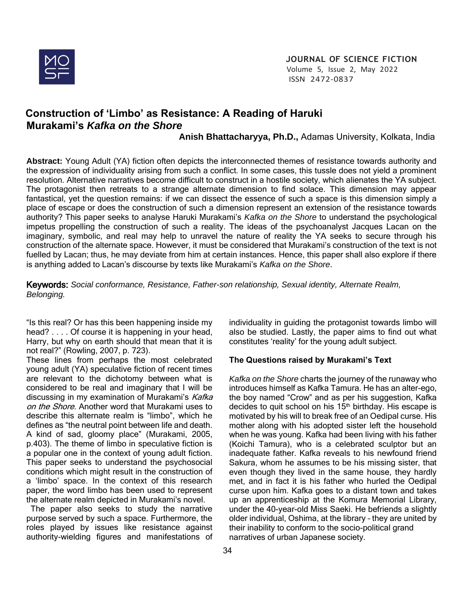

# **Construction of 'Limbo' as Resistance: A Reading of Haruki Murakami's** *Kafka on the Shore*

 **Anish Bhattacharyya, Ph.D.,** Adamas University, Kolkata, India

**Abstract:** Young Adult (YA) fiction often depicts the interconnected themes of resistance towards authority and the expression of individuality arising from such a conflict. In some cases, this tussle does not yield a prominent resolution. Alternative narratives become difficult to construct in a hostile society, which alienates the YA subject. The protagonist then retreats to a strange alternate dimension to find solace. This dimension may appear fantastical, yet the question remains: if we can dissect the essence of such a space is this dimension simply a place of escape or does the construction of such a dimension represent an extension of the resistance towards authority? This paper seeks to analyse Haruki Murakami's *Kafka on the Shore* to understand the psychological impetus propelling the construction of such a reality. The ideas of the psychoanalyst Jacques Lacan on the imaginary, symbolic, and real may help to unravel the nature of reality the YA seeks to secure through his construction of the alternate space. However, it must be considered that Murakami's construction of the text is not fuelled by Lacan; thus, he may deviate from him at certain instances. Hence, this paper shall also explore if there is anything added to Lacan's discourse by texts like Murakami's *Kafka on the Shore*.

Keywords: *Social conformance, Resistance, Father-son relationship, Sexual identity, Alternate Realm, Belonging.*

"Is this real? Or has this been happening inside my head? . . . . Of course it is happening in your head, Harry, but why on earth should that mean that it is not real?" (Rowling, 2007, p. 723).

These lines from perhaps the most celebrated young adult (YA) speculative fiction of recent times are relevant to the dichotomy between what is considered to be real and imaginary that I will be discussing in my examination of Murakami's Kafka on the Shore. Another word that Murakami uses to describe this alternate realm is "limbo", which he defines as "the neutral point between life and death. A kind of sad, gloomy place" (Murakami, 2005, p.403). The theme of limbo in speculative fiction is a popular one in the context of young adult fiction. This paper seeks to understand the psychosocial conditions which might result in the construction of a 'limbo' space. In the context of this research paper, the word limbo has been used to represent the alternate realm depicted in Murakami's novel.

 The paper also seeks to study the narrative purpose served by such a space. Furthermore, the roles played by issues like resistance against authority-wielding figures and manifestations of individuality in guiding the protagonist towards limbo will also be studied. Lastly, the paper aims to find out what constitutes 'reality' for the young adult subject.

# **The Questions raised by Murakami's Text**

*Kafka on the Shore* charts the journey of the runaway who introduces himself as Kafka Tamura. He has an alter-ego, the boy named "Crow" and as per his suggestion, Kafka decides to quit school on his  $15<sup>th</sup>$  birthday. His escape is motivated by his will to break free of an Oedipal curse. His mother along with his adopted sister left the household when he was young. Kafka had been living with his father (Koichi Tamura), who is a celebrated sculptor but an inadequate father. Kafka reveals to his newfound friend Sakura, whom he assumes to be his missing sister, that even though they lived in the same house, they hardly met, and in fact it is his father who hurled the Oedipal curse upon him. Kafka goes to a distant town and takes up an apprenticeship at the Komura Memorial Library, under the 40-year-old Miss Saeki. He befriends a slightly older individual, Oshima, at the library – they are united by their inability to conform to the socio-political grand narratives of urban Japanese society.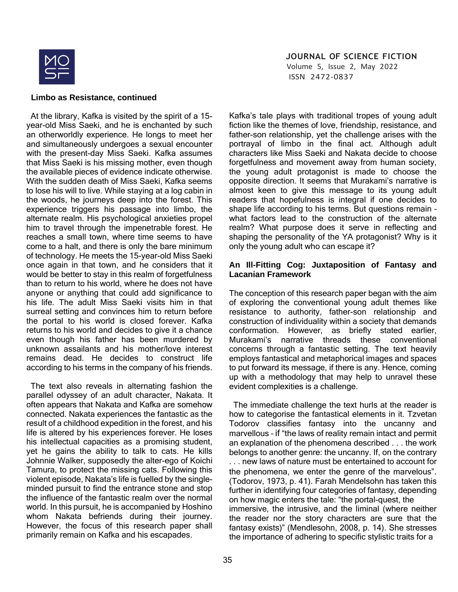

 Volume 5, Issue 2, May 2022 ISSN 2472-0837

### **Limbo as Resistance, continued**

 At the library, Kafka is visited by the spirit of a 15 year-old Miss Saeki, and he is enchanted by such an otherworldly experience. He longs to meet her and simultaneously undergoes a sexual encounter with the present-day Miss Saeki. Kafka assumes that Miss Saeki is his missing mother, even though the available pieces of evidence indicate otherwise. With the sudden death of Miss Saeki, Kafka seems to lose his will to live. While staying at a log cabin in the woods, he journeys deep into the forest. This experience triggers his passage into limbo, the alternate realm. His psychological anxieties propel him to travel through the impenetrable forest. He reaches a small town, where time seems to have come to a halt, and there is only the bare minimum of technology. He meets the 15-year-old Miss Saeki once again in that town, and he considers that it would be better to stay in this realm of forgetfulness than to return to his world, where he does not have anyone or anything that could add significance to his life. The adult Miss Saeki visits him in that surreal setting and convinces him to return before the portal to his world is closed forever. Kafka returns to his world and decides to give it a chance even though his father has been murdered by unknown assailants and his mother/love interest remains dead. He decides to construct life according to his terms in the company of his friends.

 The text also reveals in alternating fashion the parallel odyssey of an adult character, Nakata. It often appears that Nakata and Kafka are somehow connected. Nakata experiences the fantastic as the result of a childhood expedition in the forest, and his life is altered by his experiences forever. He loses his intellectual capacities as a promising student, yet he gains the ability to talk to cats. He kills Johnnie Walker, supposedly the alter-ego of Koichi Tamura, to protect the missing cats. Following this violent episode, Nakata's life is fuelled by the singleminded pursuit to find the entrance stone and stop the influence of the fantastic realm over the normal world. In this pursuit, he is accompanied by Hoshino whom Nakata befriends during their journey. However, the focus of this research paper shall primarily remain on Kafka and his escapades.

Kafka's tale plays with traditional tropes of young adult fiction like the themes of love, friendship, resistance, and father-son relationship, yet the challenge arises with the portrayal of limbo in the final act. Although adult characters like Miss Saeki and Nakata decide to choose forgetfulness and movement away from human society, the young adult protagonist is made to choose the opposite direction. It seems that Murakami's narrative is almost keen to give this message to its young adult readers that hopefulness is integral if one decides to shape life according to his terms. But questions remain – what factors lead to the construction of the alternate realm? What purpose does it serve in reflecting and shaping the personality of the YA protagonist? Why is it only the young adult who can escape it?

### **An Ill-Fitting Cog: Juxtaposition of Fantasy and Lacanian Framework**

The conception of this research paper began with the aim of exploring the conventional young adult themes like resistance to authority, father-son relationship and construction of individuality within a society that demands conformation. However, as briefly stated earlier, Murakami's narrative threads these conventional concerns through a fantastic setting. The text heavily employs fantastical and metaphorical images and spaces to put forward its message, if there is any. Hence, coming up with a methodology that may help to unravel these evident complexities is a challenge.

 The immediate challenge the text hurls at the reader is how to categorise the fantastical elements in it. Tzvetan Todorov classifies fantasy into the uncanny and marvellous – if "the laws of reality remain intact and permit an explanation of the phenomena described . . . the work belongs to another genre: the uncanny. If, on the contrary . . . new laws of nature must be entertained to account for the phenomena, we enter the genre of the marvelous". (Todorov, 1973, p. 41). Farah Mendelsohn has taken this further in identifying four categories of fantasy, depending on how magic enters the tale: "the portal-quest, the immersive, the intrusive, and the liminal (where neither the reader nor the story characters are sure that the fantasy exists)" (Mendlesohn, 2008, p. 14). She stresses the importance of adhering to specific stylistic traits for a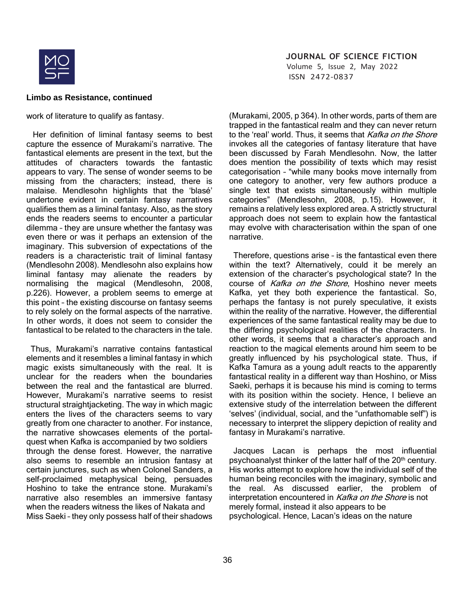

 Volume 5, Issue 2, May 2022 ISSN 2472-0837

#### **Limbo as Resistance, continued**

work of literature to qualify as fantasy.

 Her definition of liminal fantasy seems to best capture the essence of Murakami's narrative. The fantastical elements are present in the text, but the attitudes of characters towards the fantastic appears to vary. The sense of wonder seems to be missing from the characters; instead, there is malaise. Mendlesohn highlights that the 'blasé' undertone evident in certain fantasy narratives qualifies them as a liminal fantasy. Also, as the story ends the readers seems to encounter a particular dilemma – they are unsure whether the fantasy was even there or was it perhaps an extension of the imaginary. This subversion of expectations of the readers is a characteristic trait of liminal fantasy (Mendlesohn 2008). Mendlesohn also explains how liminal fantasy may alienate the readers by normalising the magical (Mendlesohn, 2008, p.226). However, a problem seems to emerge at this point – the existing discourse on fantasy seems to rely solely on the formal aspects of the narrative. In other words, it does not seem to consider the fantastical to be related to the characters in the tale.

 Thus, Murakami's narrative contains fantastical elements and it resembles a liminal fantasy in which magic exists simultaneously with the real. It is unclear for the readers when the boundaries between the real and the fantastical are blurred. However, Murakami's narrative seems to resist structural straightiacketing. The way in which magic enters the lives of the characters seems to vary greatly from one character to another. For instance, the narrative showcases elements of the portalquest when Kafka is accompanied by two soldiers through the dense forest. However, the narrative also seems to resemble an intrusion fantasy at certain junctures, such as when Colonel Sanders, a self-proclaimed metaphysical being, persuades Hoshino to take the entrance stone. Murakami's narrative also resembles an immersive fantasy when the readers witness the likes of Nakata and Miss Saeki – they only possess half of their shadows (Murakami, 2005, p 364). In other words, parts of them are trapped in the fantastical realm and they can never return to the 'real' world. Thus, it seems that Kafka on the Shore invokes all the categories of fantasy literature that have been discussed by Farah Mendlesohn. Now, the latter does mention the possibility of texts which may resist categorisation – "while many books move internally from one category to another, very few authors produce a single text that exists simultaneously within multiple categories" (Mendlesohn, 2008, p.15). However, it remains a relatively less explored area. A strictly structural approach does not seem to explain how the fantastical may evolve with characterisation within the span of one narrative.

 Therefore, questions arise – is the fantastical even there within the text? Alternatively, could it be merely an extension of the character's psychological state? In the course of Kafka on the Shore, Hoshino never meets Kafka, yet they both experience the fantastical. So, perhaps the fantasy is not purely speculative, it exists within the reality of the narrative. However, the differential experiences of the same fantastical reality may be due to the differing psychological realities of the characters. In other words, it seems that a character's approach and reaction to the magical elements around him seem to be greatly influenced by his psychological state. Thus, if Kafka Tamura as a young adult reacts to the apparently fantastical reality in a different way than Hoshino, or Miss Saeki, perhaps it is because his mind is coming to terms with its position within the society. Hence, I believe an extensive study of the interrelation between the different 'selves' (individual, social, and the "unfathomable self") is necessary to interpret the slippery depiction of reality and fantasy in Murakami's narrative.

 Jacques Lacan is perhaps the most influential psychoanalyst thinker of the latter half of the 20<sup>th</sup> century. His works attempt to explore how the individual self of the human being reconciles with the imaginary, symbolic and the real. As discussed earlier, the problem of interpretation encountered in Kafka on the Shore is not merely formal, instead it also appears to be psychological. Hence, Lacan's ideas on the nature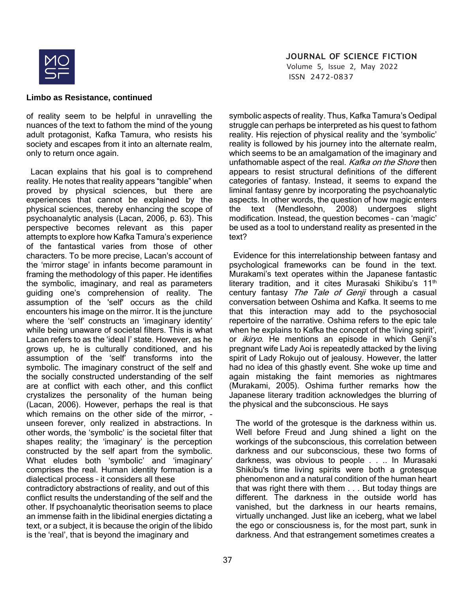

 Volume 5, Issue 2, May 2022 ISSN 2472-0837

#### **Limbo as Resistance, continued**

of reality seem to be helpful in unravelling the nuances of the text to fathom the mind of the young adult protagonist, Kafka Tamura, who resists his society and escapes from it into an alternate realm, only to return once again.

 Lacan explains that his goal is to comprehend reality. He notes that reality appears "tangible" when proved by physical sciences, but there are experiences that cannot be explained by the physical sciences, thereby enhancing the scope of psychoanalytic analysis (Lacan, 2006, p. 63). This perspective becomes relevant as this paper attempts to explore how Kafka Tamura's experience of the fantastical varies from those of other characters. To be more precise, Lacan's account of the 'mirror stage' in infants become paramount in framing the methodology of this paper. He identifies the symbolic, imaginary, and real as parameters guiding one's comprehension of reality. The assumption of the 'self' occurs as the child encounters his image on the mirror. It is the juncture where the 'self' constructs an 'imaginary identity' while being unaware of societal filters. This is what Lacan refers to as the 'ideal I' state. However, as he grows up, he is culturally conditioned, and his assumption of the 'self' transforms into the symbolic. The imaginary construct of the self and the socially constructed understanding of the self are at conflict with each other, and this conflict crystalizes the personality of the human being (Lacan, 2006). However, perhaps the real is that which remains on the other side of the mirror, unseen forever, only realized in abstractions. In other words, the 'symbolic' is the societal filter that shapes reality; the 'imaginary' is the perception constructed by the self apart from the symbolic. What eludes both 'symbolic' and 'imaginary' comprises the real. Human identity formation is a dialectical process – it considers all these contradictory abstractions of reality, and out of this

conflict results the understanding of the self and the other. If psychoanalytic theorisation seems to place an immense faith in the libidinal energies dictating a text, or a subject, it is because the origin of the libido is the 'real', that is beyond the imaginary and

symbolic aspects of reality. Thus, Kafka Tamura's Oedipal struggle can perhaps be interpreted as his quest to fathom reality. His rejection of physical reality and the 'symbolic' reality is followed by his journey into the alternate realm, which seems to be an amalgamation of the imaginary and unfathomable aspect of the real. Kafka on the Shore then appears to resist structural definitions of the different categories of fantasy. Instead, it seems to expand the liminal fantasy genre by incorporating the psychoanalytic aspects. In other words, the question of how magic enters the text (Mendlesohn, 2008) undergoes slight modification. Instead, the question becomes – can 'magic' be used as a tool to understand reality as presented in the text?

 Evidence for this interrelationship between fantasy and psychological frameworks can be found in the text. Murakami's text operates within the Japanese fantastic literary tradition, and it cites Murasaki Shikibu's 11<sup>th</sup> century fantasy The Tale of Genji through a casual conversation between Oshima and Kafka. It seems to me that this interaction may add to the psychosocial repertoire of the narrative. Oshima refers to the epic tale when he explains to Kafka the concept of the 'living spirit', or *ikiryo*. He mentions an episode in which Genji's pregnant wife Lady Aoi is repeatedly attacked by the living spirit of Lady Rokujo out of jealousy. However, the latter had no idea of this ghastly event. She woke up time and again mistaking the faint memories as nightmares (Murakami, 2005). Oshima further remarks how the Japanese literary tradition acknowledges the blurring of the physical and the subconscious. He says

The world of the grotesque is the darkness within us. Well before Freud and Jung shined a light on the workings of the subconscious, this correlation between darkness and our subconscious, these two forms of darkness, was obvious to people . . .. In Murasaki Shikibu's time living spirits were both a grotesque phenomenon and a natural condition of the human heart that was right there with them . . . But today things are different. The darkness in the outside world has vanished, but the darkness in our hearts remains, virtually unchanged. Just like an iceberg, what we label the ego or consciousness is, for the most part, sunk in darkness. And that estrangement sometimes creates a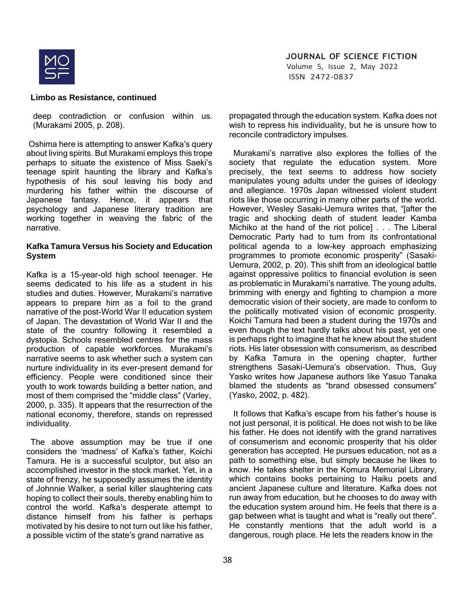

 Volume 5, Issue 2, May 2022 ISSN 2472-0837

#### **Limbo as Resistance, continued**

deep contradiction or confusion within us. (Murakami 2005, p. 208).

Oshima here is attempting to answer Kafka's query about living spirits. But Murakami employs this trope perhaps to situate the existence of Miss Saeki's teenage spirit haunting the library and Kafka's hypothesis of his soul leaving his body and murdering his father within the discourse of Japanese fantasy. Hence, it appears that psychology and Japanese literary tradition are working together in weaving the fabric of the narrative.

### **Kafka Tamura Versus his Society and Education System**

Kafka is a 15-year-old high school teenager. He seems dedicated to his life as a student in his studies and duties. However, Murakami's narrative appears to prepare him as a foil to the grand narrative of the post-World War II education system of Japan. The devastation of World War II and the state of the country following it resembled a dystopia. Schools resembled centres for the mass production of capable workforces. Murakami's narrative seems to ask whether such a system can nurture individuality in its ever-present demand for efficiency. People were conditioned since their youth to work towards building a better nation, and most of them comprised the "middle class" (Varley, 2000, p. 335). It appears that the resurrection of the national economy, therefore, stands on repressed individuality.

 The above assumption may be true if one considers the 'madness' of Kafka's father, Koichi Tamura. He is a successful sculptor, but also an accomplished investor in the stock market. Yet, in a state of frenzy, he supposedly assumes the identity of Johnnie Walker, a serial killer slaughtering cats hoping to collect their souls, thereby enabling him to control the world. Kafka's desperate attempt to distance himself from his father is perhaps motivated by his desire to not turn out like his father, a possible victim of the state's grand narrative as

propagated through the education system. Kafka does not wish to repress his individuality, but he is unsure how to reconcile contradictory impulses.

 Murakami's narrative also explores the follies of the society that regulate the education system. More precisely, the text seems to address how society manipulates young adults under the guises of ideology and allegiance. 1970s Japan witnessed violent student riots like those occurring in many other parts of the world. However, Wesley Sasaki-Uemura writes that, "[after the tragic and shocking death of student leader Kamba Michiko at the hand of the riot police] . . . The Liberal Democratic Party had to turn from its confrontational political agenda to a low-key approach emphasizing programmes to promote economic prosperity" (Sasaki-Uemura, 2002, p. 20). This shift from an ideological battle against oppressive politics to financial evolution is seen as problematic in Murakami's narrative. The young adults, brimming with energy and fighting to champion a more democratic vision of their society, are made to conform to the politically motivated vision of economic prosperity. Koichi Tamura had been a student during the 1970s and even though the text hardly talks about his past, yet one is perhaps right to imagine that he knew about the student riots. His later obsession with consumerism, as described by Kafka Tamura in the opening chapter, further strengthens Sasaki-Uemura's observation. Thus, Guy Yasko writes how Japanese authors like Yasuo Tanaka blamed the students as "brand obsessed consumers" (Yasko, 2002, p. 482).

 It follows that Kafka's escape from his father's house is not just personal, it is political. He does not wish to be like his father. He does not identify with the grand narratives of consumerism and economic prosperity that his older generation has accepted. He pursues education, not as a path to something else, but simply because he likes to know. He takes shelter in the Komura Memorial Library, which contains books pertaining to Haiku poets and ancient Japanese culture and literature. Kafka does not run away from education, but he chooses to do away with the education system around him. He feels that there is a gap between what is taught and what is "really out there". He constantly mentions that the adult world is a dangerous, rough place. He lets the readers know in the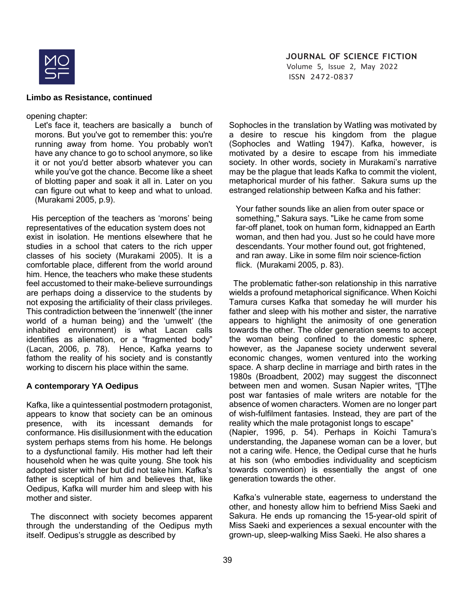

 Volume 5, Issue 2, May 2022 ISSN 2472-0837

#### **Limbo as Resistance, continued**

opening chapter:

Let's face it, teachers are basically a bunch of morons. But you've got to remember this: you're running away from home. You probably won't have any chance to go to school anymore, so like it or not you'd better absorb whatever you can while you've got the chance. Become like a sheet of blotting paper and soak it all in. Later on you can figure out what to keep and what to unload. (Murakami 2005, p.9).

His perception of the teachers as 'morons' being representatives of the education system does not exist in isolation. He mentions elsewhere that he studies in a school that caters to the rich upper classes of his society (Murakami 2005). It is a comfortable place, different from the world around him. Hence, the teachers who make these students feel accustomed to their make-believe surroundings are perhaps doing a disservice to the students by not exposing the artificiality of their class privileges. This contradiction between the 'innenwelt' (the inner world of a human being) and the 'umwelt' (the inhabited environment) is what Lacan calls identifies as alienation, or a "fragmented body" (Lacan, 2006, p. 78). Hence, Kafka yearns to fathom the reality of his society and is constantly working to discern his place within the same.

# **A contemporary YA Oedipus**

Kafka, like a quintessential postmodern protagonist, appears to know that society can be an ominous presence, with its incessant demands for conformance. His disillusionment with the education system perhaps stems from his home. He belongs to a dysfunctional family. His mother had left their household when he was quite young. She took his adopted sister with her but did not take him. Kafka's father is sceptical of him and believes that, like Oedipus, Kafka will murder him and sleep with his mother and sister.

 The disconnect with society becomes apparent through the understanding of the Oedipus myth itself. Oedipus's struggle as described by

Sophocles in the translation by Watling was motivated by a desire to rescue his kingdom from the plague (Sophocles and Watling 1947). Kafka, however, is motivated by a desire to escape from his immediate society. In other words, society in Murakami's narrative may be the plague that leads Kafka to commit the violent, metaphorical murder of his father. Sakura sums up the estranged relationship between Kafka and his father:

Your father sounds like an alien from outer space or something," Sakura says. "Like he came from some far-off planet, took on human form, kidnapped an Earth woman, and then had you. Just so he could have more descendants. Your mother found out, got frightened, and ran away. Like in some film noir science-fiction flick. (Murakami 2005, p. 83).

 The problematic father-son relationship in this narrative wields a profound metaphorical significance. When Koichi Tamura curses Kafka that someday he will murder his father and sleep with his mother and sister, the narrative appears to highlight the animosity of one generation towards the other. The older generation seems to accept the woman being confined to the domestic sphere, however, as the Japanese society underwent several economic changes, women ventured into the working space. A sharp decline in marriage and birth rates in the 1980s (Broadbent, 2002) may suggest the disconnect between men and women. Susan Napier writes, "[T]he post war fantasies of male writers are notable for the absence of women characters. Women are no longer part of wish-fulfilment fantasies. Instead, they are part of the reality which the male protagonist longs to escape" (Napier, 1996, p. 54). Perhaps in Koichi Tamura's understanding, the Japanese woman can be a lover, but

not a caring wife. Hence, the Oedipal curse that he hurls at his son (who embodies individuality and scepticism towards convention) is essentially the angst of one generation towards the other.

 Kafka's vulnerable state, eagerness to understand the other, and honesty allow him to befriend Miss Saeki and Sakura. He ends up romancing the 15-year-old spirit of Miss Saeki and experiences a sexual encounter with the grown-up, sleep-walking Miss Saeki. He also shares a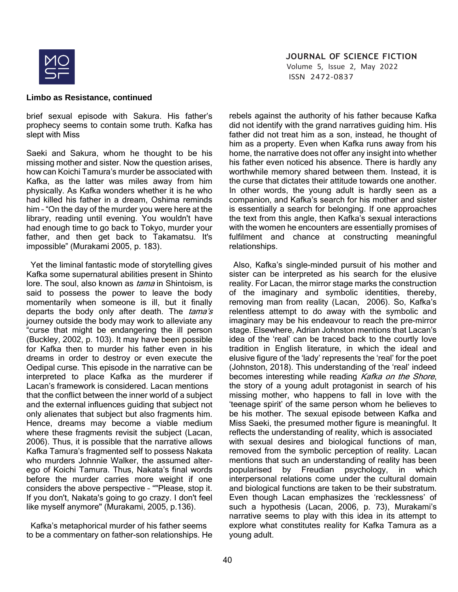

 Volume 5, Issue 2, May 2022 ISSN 2472-0837

#### **Limbo as Resistance, continued**

brief sexual episode with Sakura. His father's prophecy seems to contain some truth. Kafka has slept with Miss

Saeki and Sakura, whom he thought to be his missing mother and sister. Now the question arises, how can Koichi Tamura's murder be associated with Kafka, as the latter was miles away from him physically. As Kafka wonders whether it is he who had killed his father in a dream, Oshima reminds him – "On the day of the murder you were here at the library, reading until evening. You wouldn't have had enough time to go back to Tokyo, murder your father, and then get back to Takamatsu. It's impossible" (Murakami 2005, p. 183).

 Yet the liminal fantastic mode of storytelling gives Kafka some supernatural abilities present in Shinto lore. The soul, also known as *tama* in Shintoism, is said to possess the power to leave the body momentarily when someone is ill, but it finally departs the body only after death. The tama's journey outside the body may work to alleviate any "curse that might be endangering the ill person (Buckley, 2002, p. 103). It may have been possible for Kafka then to murder his father even in his dreams in order to destroy or even execute the Oedipal curse. This episode in the narrative can be interpreted to place Kafka as the murderer if Lacan's framework is considered. Lacan mentions that the conflict between the inner world of a subject and the external influences guiding that subject not only alienates that subject but also fragments him. Hence, dreams may become a viable medium where these fragments revisit the subject (Lacan, 2006). Thus, it is possible that the narrative allows Kafka Tamura's fragmented self to possess Nakata who murders Johnnie Walker, the assumed alterego of Koichi Tamura. Thus, Nakata's final words before the murder carries more weight if one considers the above perspective – ""Please, stop it. If you don't, Nakata's going to go crazy. I don't feel like myself anymore" (Murakami, 2005, p.136).

 Kafka's metaphorical murder of his father seems to be a commentary on father-son relationships. He rebels against the authority of his father because Kafka did not identify with the grand narratives guiding him. His father did not treat him as a son, instead, he thought of him as a property. Even when Kafka runs away from his home, the narrative does not offer any insight into whether his father even noticed his absence. There is hardly any worthwhile memory shared between them. Instead, it is the curse that dictates their attitude towards one another. In other words, the young adult is hardly seen as a companion, and Kafka's search for his mother and sister is essentially a search for belonging. If one approaches the text from this angle, then Kafka's sexual interactions with the women he encounters are essentially promises of fulfilment and chance at constructing meaningful relationships.

 Also, Kafka's single-minded pursuit of his mother and sister can be interpreted as his search for the elusive reality. For Lacan, the mirror stage marks the construction of the imaginary and symbolic identities, thereby, removing man from reality (Lacan, 2006). So, Kafka's relentless attempt to do away with the symbolic and imaginary may be his endeavour to reach the pre-mirror stage. Elsewhere, Adrian Johnston mentions that Lacan's idea of the 'real' can be traced back to the courtly love tradition in English literature, in which the ideal and elusive figure of the 'lady' represents the 'real' for the poet (Johnston, 2018). This understanding of the 'real' indeed becomes interesting while reading Kafka on the Shore, the story of a young adult protagonist in search of his missing mother, who happens to fall in love with the 'teenage spirit' of the same person whom he believes to be his mother. The sexual episode between Kafka and Miss Saeki, the presumed mother figure is meaningful. It reflects the understanding of reality, which is associated with sexual desires and biological functions of man, removed from the symbolic perception of reality. Lacan mentions that such an understanding of reality has been popularised by Freudian psychology, in which interpersonal relations come under the cultural domain and biological functions are taken to be their substratum. Even though Lacan emphasizes the 'recklessness' of such a hypothesis (Lacan, 2006, p. 73), Murakami's narrative seems to play with this idea in its attempt to explore what constitutes reality for Kafka Tamura as a young adult.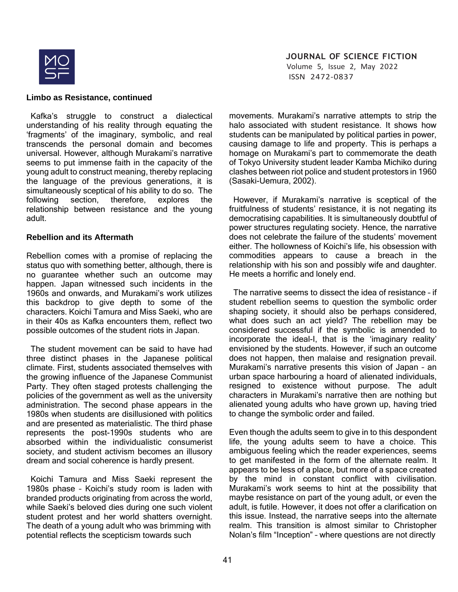

 Volume 5, Issue 2, May 2022 ISSN 2472-0837

#### **Limbo as Resistance, continued**

 Kafka's struggle to construct a dialectical understanding of his reality through equating the 'fragments' of the imaginary, symbolic, and real transcends the personal domain and becomes universal. However, although Murakami's narrative seems to put immense faith in the capacity of the young adult to construct meaning, thereby replacing the language of the previous generations, it is simultaneously sceptical of his ability to do so. The following section, therefore, explores the relationship between resistance and the young adult.

#### **Rebellion and its Aftermath**

Rebellion comes with a promise of replacing the status quo with something better, although, there is no guarantee whether such an outcome may happen. Japan witnessed such incidents in the 1960s and onwards, and Murakami's work utilizes this backdrop to give depth to some of the characters. Koichi Tamura and Miss Saeki, who are in their 40s as Kafka encounters them, reflect two possible outcomes of the student riots in Japan.

 The student movement can be said to have had three distinct phases in the Japanese political climate. First, students associated themselves with the growing influence of the Japanese Communist Party. They often staged protests challenging the policies of the government as well as the university administration. The second phase appears in the 1980s when students are disillusioned with politics and are presented as materialistic. The third phase represents the post-1990s students who are absorbed within the individualistic consumerist society, and student activism becomes an illusory dream and social coherence is hardly present.

 Koichi Tamura and Miss Saeki represent the 1980s phase – Koichi's study room is laden with branded products originating from across the world, while Saeki's beloved dies during one such violent student protest and her world shatters overnight. The death of a young adult who was brimming with potential reflects the scepticism towards such

movements. Murakami's narrative attempts to strip the halo associated with student resistance. It shows how students can be manipulated by political parties in power, causing damage to life and property. This is perhaps a homage on Murakami's part to commemorate the death of Tokyo University student leader Kamba Michiko during clashes between riot police and student protestors in 1960 (Sasaki-Uemura, 2002).

 However, if Murakami's narrative is sceptical of the fruitfulness of students' resistance, it is not negating its democratising capabilities. It is simultaneously doubtful of power structures regulating society. Hence, the narrative does not celebrate the failure of the students' movement either. The hollowness of Koichi's life, his obsession with commodities appears to cause a breach in the relationship with his son and possibly wife and daughter. He meets a horrific and lonely end.

 The narrative seems to dissect the idea of resistance – if student rebellion seems to question the symbolic order shaping society, it should also be perhaps considered, what does such an act yield? The rebellion may be considered successful if the symbolic is amended to incorporate the ideal-I, that is the 'imaginary reality' envisioned by the students. However, if such an outcome does not happen, then malaise and resignation prevail. Murakami's narrative presents this vision of Japan – an urban space harbouring a hoard of alienated individuals, resigned to existence without purpose. The adult characters in Murakami's narrative then are nothing but alienated young adults who have grown up, having tried to change the symbolic order and failed.

Even though the adults seem to give in to this despondent life, the young adults seem to have a choice. This ambiguous feeling which the reader experiences, seems to get manifested in the form of the alternate realm. It appears to be less of a place, but more of a space created by the mind in constant conflict with civilisation. Murakami's work seems to hint at the possibility that maybe resistance on part of the young adult, or even the adult, is futile. However, it does not offer a clarification on this issue. Instead, the narrative seeps into the alternate realm. This transition is almost similar to Christopher Nolan's film "Inception" – where questions are not directly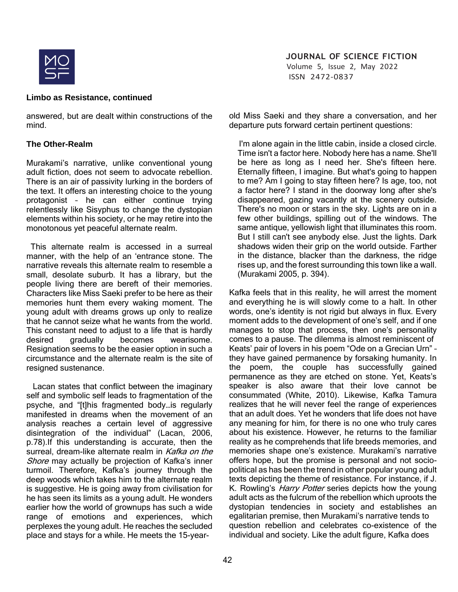

 Volume 5, Issue 2, May 2022 ISSN 2472-0837

### **Limbo as Resistance, continued**

answered, but are dealt within constructions of the mind.

### **The Other-Realm**

Murakami's narrative, unlike conventional young adult fiction, does not seem to advocate rebellion. There is an air of passivity lurking in the borders of the text. It offers an interesting choice to the young protagonist – he can either continue trying relentlessly like Sisyphus to change the dystopian elements within his society, or he may retire into the monotonous yet peaceful alternate realm.

 This alternate realm is accessed in a surreal manner, with the help of an 'entrance stone. The narrative reveals this alternate realm to resemble a small, desolate suburb. It has a library, but the people living there are bereft of their memories. Characters like Miss Saeki prefer to be here as their memories hunt them every waking moment. The young adult with dreams grows up only to realize that he cannot seize what he wants from the world. This constant need to adjust to a life that is hardly desired gradually becomes wearisome. Resignation seems to be the easier option in such a circumstance and the alternate realm is the site of resigned sustenance.

 Lacan states that conflict between the imaginary self and symbolic self leads to fragmentation of the psyche, and "[t]his fragmented body…is regularly manifested in dreams when the movement of an analysis reaches a certain level of aggressive disintegration of the individual" (Lacan, 2006, p.78).If this understanding is accurate, then the surreal, dream-like alternate realm in Kafka on the Shore may actually be projection of Kafka's inner turmoil. Therefore, Kafka's journey through the deep woods which takes him to the alternate realm is suggestive. He is going away from civilisation for he has seen its limits as a young adult. He wonders earlier how the world of grownups has such a wide range of emotions and experiences, which perplexes the young adult. He reaches the secluded place and stays for a while. He meets the 15-yearold Miss Saeki and they share a conversation, and her departure puts forward certain pertinent questions:

 I'm alone again in the little cabin, inside a closed circle. Time isn't a factor here. Nobody here has a name. She'll be here as long as I need her. She's fifteen here. Eternally fifteen, I imagine. But what's going to happen to me? Am I going to stay fifteen here? Is age, too, not a factor here? I stand in the doorway long after she's disappeared, gazing vacantly at the scenery outside. There's no moon or stars in the sky. Lights are on in a few other buildings, spilling out of the windows. The same antique, yellowish light that illuminates this room. But I still can't see anybody else. Just the lights. Dark shadows widen their grip on the world outside. Farther in the distance, blacker than the darkness, the ridge rises up, and the forest surrounding this town like a wall. (Murakami 2005, p. 394).

Kafka feels that in this reality, he will arrest the moment and everything he is will slowly come to a halt. In other words, one's identity is not rigid but always in flux. Every moment adds to the development of one's self, and if one manages to stop that process, then one's personality comes to a pause. The dilemma is almost reminiscent of Keats' pair of lovers in his poem "Ode on a Grecian Urn" – they have gained permanence by forsaking humanity. In the poem, the couple has successfully gained permanence as they are etched on stone. Yet, Keats's speaker is also aware that their love cannot be consummated (White, 2010). Likewise, Kafka Tamura realizes that he will never feel the range of experiences that an adult does. Yet he wonders that life does not have any meaning for him, for there is no one who truly cares about his existence. However, he returns to the familiar reality as he comprehends that life breeds memories, and memories shape one's existence. Murakami's narrative offers hope, but the promise is personal and not sociopolitical as has been the trend in other popular young adult texts depicting the theme of resistance. For instance, if J. K. Rowling's *Harry Potter* series depicts how the young adult acts as the fulcrum of the rebellion which uproots the dystopian tendencies in society and establishes an egalitarian premise, then Murakami's narrative tends to question rebellion and celebrates co-existence of the individual and society. Like the adult figure, Kafka does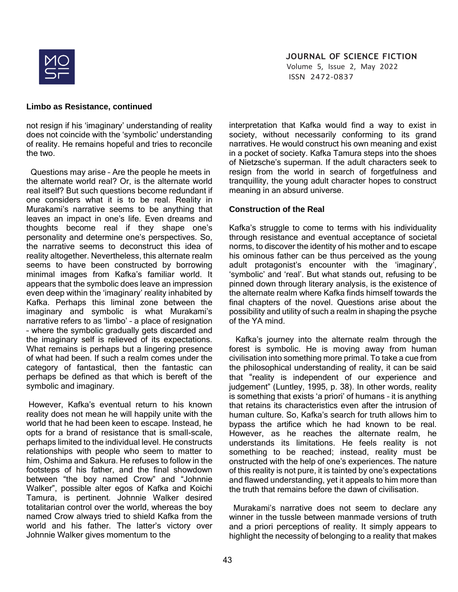

 Volume 5, Issue 2, May 2022 ISSN 2472-0837

### **Limbo as Resistance, continued**

not resign if his 'imaginary' understanding of reality does not coincide with the 'symbolic' understanding of reality. He remains hopeful and tries to reconcile the two.

 Questions may arise – Are the people he meets in the alternate world real? Or, is the alternate world real itself? But such questions become redundant if one considers what it is to be real. Reality in Murakami's narrative seems to be anything that leaves an impact in one's life. Even dreams and thoughts become real if they shape one's personality and determine one's perspectives. So, the narrative seems to deconstruct this idea of reality altogether. Nevertheless, this alternate realm seems to have been constructed by borrowing minimal images from Kafka's familiar world. It appears that the symbolic does leave an impression even deep within the 'imaginary' reality inhabited by Kafka. Perhaps this liminal zone between the imaginary and symbolic is what Murakami's narrative refers to as 'limbo' – a place of resignation – where the symbolic gradually gets discarded and the imaginary self is relieved of its expectations. What remains is perhaps but a lingering presence of what had been. If such a realm comes under the category of fantastical, then the fantastic can perhaps be defined as that which is bereft of the symbolic and imaginary.

However, Kafka's eventual return to his known reality does not mean he will happily unite with the world that he had been keen to escape. Instead, he opts for a brand of resistance that is small-scale, perhaps limited to the individual level. He constructs relationships with people who seem to matter to him, Oshima and Sakura. He refuses to follow in the footsteps of his father, and the final showdown between "the boy named Crow" and "Johnnie Walker", possible alter egos of Kafka and Koichi Tamura, is pertinent. Johnnie Walker desired totalitarian control over the world, whereas the boy named Crow always tried to shield Kafka from the world and his father. The latter's victory over Johnnie Walker gives momentum to the

interpretation that Kafka would find a way to exist in society, without necessarily conforming to its grand narratives. He would construct his own meaning and exist in a pocket of society. Kafka Tamura steps into the shoes of Nietzsche's superman. If the adult characters seek to resign from the world in search of forgetfulness and tranquillity, the young adult character hopes to construct meaning in an absurd universe.

# **Construction of the Real**

Kafka's struggle to come to terms with his individuality through resistance and eventual acceptance of societal norms, to discover the identity of his mother and to escape his ominous father can be thus perceived as the young adult protagonist's encounter with the 'imaginary', 'symbolic' and 'real'. But what stands out, refusing to be pinned down through literary analysis, is the existence of the alternate realm where Kafka finds himself towards the final chapters of the novel. Questions arise about the possibility and utility of such a realm in shaping the psyche of the YA mind.

 Kafka's journey into the alternate realm through the forest is symbolic. He is moving away from human civilisation into something more primal. To take a cue from the philosophical understanding of reality, it can be said that "reality is independent of our experience and judgement" (Luntley, 1995, p. 38). In other words, reality is something that exists 'a priori' of humans – it is anything that retains its characteristics even after the intrusion of human culture. So, Kafka's search for truth allows him to bypass the artifice which he had known to be real. However, as he reaches the alternate realm, he understands its limitations. He feels reality is not something to be reached; instead, reality must be onstructed with the help of one's experiences. The nature of this reality is not pure, it is tainted by one's expectations and flawed understanding, yet it appeals to him more than the truth that remains before the dawn of civilisation.

 Murakami's narrative does not seem to declare any winner in the tussle between manmade versions of truth and a priori perceptions of reality. It simply appears to highlight the necessity of belonging to a reality that makes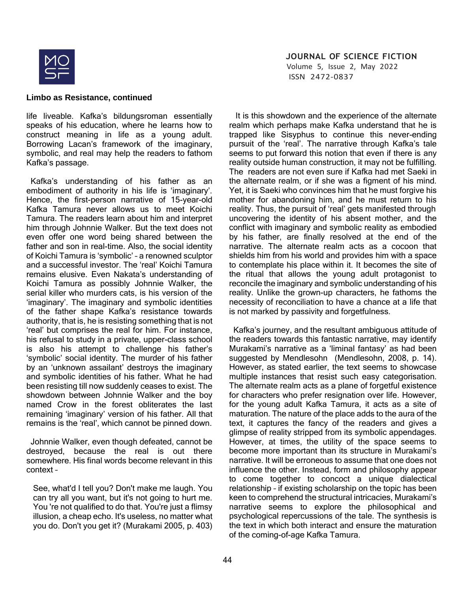

 Volume 5, Issue 2, May 2022 ISSN 2472-0837

#### **Limbo as Resistance, continued**

life liveable. Kafka's bildungsroman essentially speaks of his education, where he learns how to construct meaning in life as a young adult. Borrowing Lacan's framework of the imaginary, symbolic, and real may help the readers to fathom Kafka's passage.

Kafka's understanding of his father as an embodiment of authority in his life is 'imaginary'. Hence, the first-person narrative of 15-year-old Kafka Tamura never allows us to meet Koichi Tamura. The readers learn about him and interpret him through Johnnie Walker. But the text does not even offer one word being shared between the father and son in real-time. Also, the social identity of Koichi Tamura is 'symbolic' – a renowned sculptor and a successful investor. The 'real' Koichi Tamura remains elusive. Even Nakata's understanding of Koichi Tamura as possibly Johnnie Walker, the serial killer who murders cats, is his version of the 'imaginary'. The imaginary and symbolic identities of the father shape Kafka's resistance towards authority, that is, he is resisting something that is not 'real' but comprises the real for him. For instance, his refusal to study in a private, upper-class school is also his attempt to challenge his father's 'symbolic' social identity. The murder of his father by an 'unknown assailant' destroys the imaginary and symbolic identities of his father. What he had been resisting till now suddenly ceases to exist. The showdown between Johnnie Walker and the boy named Crow in the forest obliterates the last remaining 'imaginary' version of his father. All that remains is the 'real', which cannot be pinned down.

 Johnnie Walker, even though defeated, cannot be destroyed, because the real is out there somewhere. His final words become relevant in this context –

See, what'd I tell you? Don't make me laugh. You can try all you want, but it's not going to hurt me. You 're not qualified to do that. You're just a flimsy illusion, a cheap echo. It's useless, no matter what you do. Don't you get it? (Murakami 2005, p. 403)

 It is this showdown and the experience of the alternate realm which perhaps make Kafka understand that he is trapped like Sisyphus to continue this never-ending pursuit of the 'real'. The narrative through Kafka's tale seems to put forward this notion that even if there is any reality outside human construction, it may not be fulfilling. The readers are not even sure if Kafka had met Saeki in the alternate realm, or if she was a figment of his mind. Yet, it is Saeki who convinces him that he must forgive his mother for abandoning him, and he must return to his reality. Thus, the pursuit of 'real' gets manifested through uncovering the identity of his absent mother, and the conflict with imaginary and symbolic reality as embodied by his father, are finally resolved at the end of the narrative. The alternate realm acts as a cocoon that shields him from his world and provides him with a space to contemplate his place within it. It becomes the site of the ritual that allows the young adult protagonist to reconcile the imaginary and symbolic understanding of his reality. Unlike the grown-up characters, he fathoms the necessity of reconciliation to have a chance at a life that is not marked by passivity and forgetfulness.

 Kafka's journey, and the resultant ambiguous attitude of the readers towards this fantastic narrative, may identify Murakami's narrative as a 'liminal fantasy' as had been suggested by Mendlesohn (Mendlesohn, 2008, p. 14). However, as stated earlier, the text seems to showcase multiple instances that resist such easy categorisation. The alternate realm acts as a plane of forgetful existence for characters who prefer resignation over life. However, for the young adult Kafka Tamura, it acts as a site of maturation. The nature of the place adds to the aura of the text, it captures the fancy of the readers and gives a glimpse of reality stripped from its symbolic appendages. However, at times, the utility of the space seems to become more important than its structure in Murakami's narrative. It will be erroneous to assume that one does not influence the other. Instead, form and philosophy appear to come together to concoct a unique dialectical relationship – if existing scholarship on the topic has been keen to comprehend the structural intricacies, Murakami's narrative seems to explore the philosophical and psychological repercussions of the tale. The synthesis is the text in which both interact and ensure the maturation of the coming-of-age Kafka Tamura.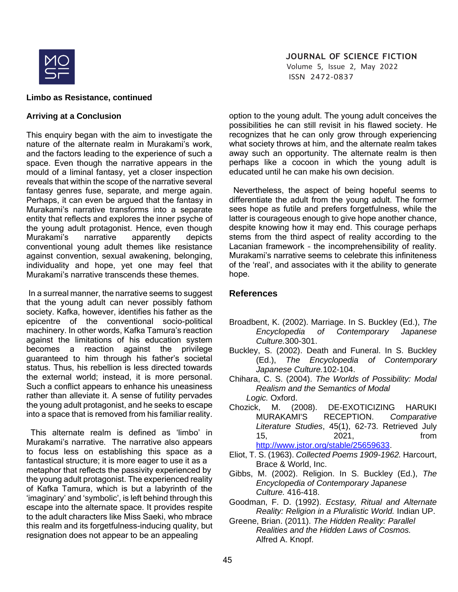

 Volume 5, Issue 2, May 2022 ISSN 2472-0837

#### **Limbo as Resistance, continued**

#### **Arriving at a Conclusion**

This enquiry began with the aim to investigate the nature of the alternate realm in Murakami's work, and the factors leading to the experience of such a space. Even though the narrative appears in the mould of a liminal fantasy, yet a closer inspection reveals that within the scope of the narrative several fantasy genres fuse, separate, and merge again. Perhaps, it can even be argued that the fantasy in Murakami's narrative transforms into a separate entity that reflects and explores the inner psyche of the young adult protagonist. Hence, even though Murakami's narrative apparently depicts conventional young adult themes like resistance against convention, sexual awakening, belonging, individuality and hope, yet one may feel that Murakami's narrative transcends these themes.

In a surreal manner, the narrative seems to suggest that the young adult can never possibly fathom society. Kafka, however, identifies his father as the epicentre of the conventional socio-political machinery. In other words, Kafka Tamura's reaction against the limitations of his education system becomes a reaction against the privilege guaranteed to him through his father's societal status. Thus, his rebellion is less directed towards the external world; instead, it is more personal. Such a conflict appears to enhance his uneasiness rather than alleviate it. A sense of futility pervades the young adult protagonist, and he seeks to escape into a space that is removed from his familiar reality.

 This alternate realm is defined as 'limbo' in Murakami's narrative. The narrative also appears to focus less on establishing this space as a fantastical structure; it is more eager to use it as a metaphor that reflects the passivity experienced by the young adult protagonist. The experienced reality of Kafka Tamura, which is but a labyrinth of the 'imaginary' and 'symbolic', is left behind through this escape into the alternate space. It provides respite to the adult characters like Miss Saeki, who mbrace this realm and its forgetfulness-inducing quality, but resignation does not appear to be an appealing

option to the young adult. The young adult conceives the possibilities he can still revisit in his flawed society. He recognizes that he can only grow through experiencing what society throws at him, and the alternate realm takes away such an opportunity. The alternate realm is then perhaps like a cocoon in which the young adult is educated until he can make his own decision.

 Nevertheless, the aspect of being hopeful seems to differentiate the adult from the young adult. The former sees hope as futile and prefers forgetfulness, while the latter is courageous enough to give hope another chance, despite knowing how it may end. This courage perhaps stems from the third aspect of reality according to the Lacanian framework – the incomprehensibility of reality. Murakami's narrative seems to celebrate this infiniteness of the 'real', and associates with it the ability to generate hope.

# **References**

- Broadbent, K. (2002). Marriage. In S. Buckley (Ed.), *The Encyclopedia of Contemporary Japanese Culture.*300-301.
- Buckley, S. (2002). Death and Funeral. In S. Buckley (Ed.), *The Encyclopedia of Contemporary Japanese Culture.*102-104.
- Chihara, C. S. (2004). *The Worlds of Possibility: Modal Realism and the Semantics of Modal Logic.* Oxford.
- Chozick, M. (2008). DE-EXOTICIZING HARUKI MURAKAMI'S RECEPTION. *Comparative Literature Studies*, 45(1), 62-73. Retrieved July 15, 2021, from [http://www.jstor.org/stable/25659633.](http://www.jstor.org/stable/25659633)
- Eliot, T. S. (1963). *Collected Poems 1909-1962.* Harcourt, Brace & World, Inc.
- Gibbs, M. (2002). Religion. In S. Buckley (Ed.), *The Encyclopedia of Contemporary Japanese Culture.* 416-418.
- Goodman, F. D. (1992). *Ecstasy, Ritual and Alternate Reality: Religion in a Pluralistic World.* Indian UP.
- Greene, Brian. (2011). *The Hidden Reality: Parallel Realities and the Hidden Laws of Cosmos.*  Alfred A. Knopf.